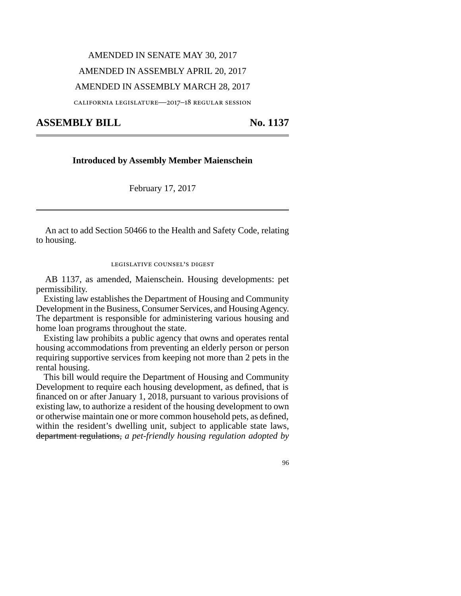## AMENDED IN SENATE MAY 30, 2017 AMENDED IN ASSEMBLY APRIL 20, 2017 AMENDED IN ASSEMBLY MARCH 28, 2017

california legislature—2017–18 regular session

## ASSEMBLY BILL No. 1137

## **Introduced by Assembly Member Maienschein**

February 17, 2017

An act to add Section 50466 to the Health and Safety Code, relating to housing.

legislative counsel's digest

AB 1137, as amended, Maienschein. Housing developments: pet permissibility.

Existing law establishes the Department of Housing and Community Development in the Business, Consumer Services, and Housing Agency. The department is responsible for administering various housing and home loan programs throughout the state.

Existing law prohibits a public agency that owns and operates rental housing accommodations from preventing an elderly person or person requiring supportive services from keeping not more than 2 pets in the rental housing.

This bill would require the Department of Housing and Community Development to require each housing development, as defined, that is financed on or after January 1, 2018, pursuant to various provisions of existing law, to authorize a resident of the housing development to own or otherwise maintain one or more common household pets, as defined, within the resident's dwelling unit, subject to applicable state laws, department regulations, *a pet-friendly housing regulation adopted by*

96